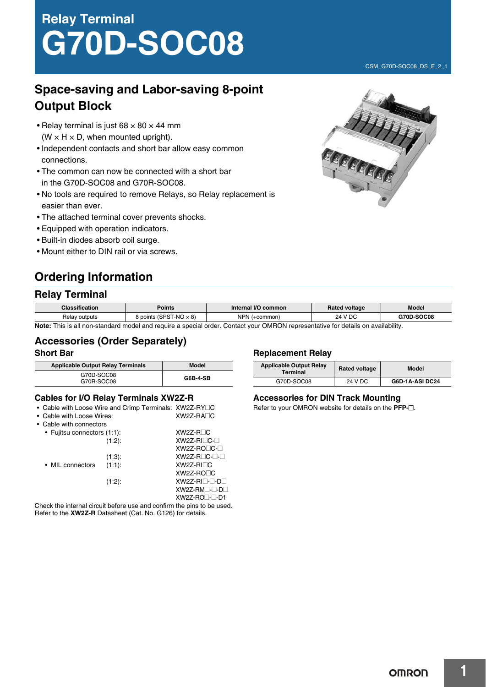# **Relay Terminal G70D-SOC08**

## **Space-saving and Labor-saving 8-point Output Block**

- Relay terminal is just  $68 \times 80 \times 44$  mm  $(W \times H \times D)$ , when mounted upright).
- Independent contacts and short bar allow easy common connections.
- The common can now be connected with a short bar in the G70D-SOC08 and G70R-SOC08.
- No tools are required to remove Relays, so Relay replacement is easier than ever.
- The attached terminal cover prevents shocks.
- Equipped with operation indicators.
- Built-in diodes absorb coil surge.
- Mount either to DIN rail or via screws.

## **Ordering Information**

## **Relay Terminal**

| <b>Classification</b> | <b>Points</b>                 | Internal I/O common | <b>Rated voltage</b> | Model      |
|-----------------------|-------------------------------|---------------------|----------------------|------------|
| Relay outputs         | 8 points (SPST-NO $\times$ 8) | NPN (+common)       | 24 V DC              | G70D-SOC08 |

**Note:** This is all non-standard model and require a special order. Contact your OMRON representative for details on availability.

## **Accessories (Order Separately)**

## **Short Bar**

| <b>Applicable Output Relay Terminals</b> | Model    |
|------------------------------------------|----------|
| G70D-SOC08<br>G70R-SOC08                 | G6B-4-SB |

## **Cables for I/O Relay Terminals XW2Z-R**

• Cable with Loose Wire and Crimp Terminals: XW2Z-RY<sup>IC</sup>

| • Cable with Loose Wires:   | XW2Z-RA⊟C                   |
|-----------------------------|-----------------------------|
| • Cable with connectors     |                             |
| • Fujitsu connectors (1:1): | $XW2Z - R \Box C$           |
| $(1:2)$ :                   | XW2Z-RI⊡C-⊟                 |
|                             | $XW2Z$ -RO $\Box$ C- $\Box$ |
| $(1:3)$ :                   | XW2Z-R⊟C-⊟-⊟                |
| (1:1):<br>• MIL connectors  | $XW2Z-RI \Box C$            |
|                             | $XW2Z-RO1C$                 |
| $(1:2)$ :                   | XW2Z-RI⊡-⊟-D⊟               |
|                             | XW2Z-RM⊟-⊟-D⊟               |
|                             | $XW2Z-RO$ - D1              |

Check the internal circuit before use and confirm the pins to be used. Refer to the **XW2Z-R** Datasheet (Cat. No. G126) for details.

## **Replacement Relay**

| <b>Applicable Output Relay</b><br>Terminal | <b>Rated voltage</b> | Model           |
|--------------------------------------------|----------------------|-----------------|
| G70D-SOC08                                 | 24 V DC              | G6D-1A-ASI DC24 |

## **Accessories for DIN Track Mounting**

Refer to your OMRON website for details on the **PFP-**@.



CSM\_G70D-SOC08\_DS\_E\_2\_1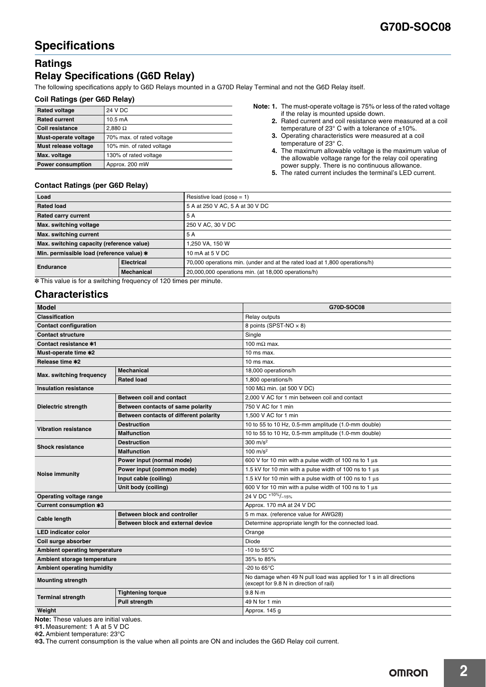## **Specifications**

## **Ratings Relay Specifications (G6D Relay)**

The following specifications apply to G6D Relays mounted in a G70D Relay Terminal and not the G6D Relay itself.

### **Coil Ratings (per G6D Relay)**

| <b>Rated voltage</b>     | 24 V DC                   |
|--------------------------|---------------------------|
|                          |                           |
| <b>Rated current</b>     | $10.5 \text{ mA}$         |
| <b>Coil resistance</b>   | 2,880 $\Omega$            |
|                          |                           |
| Must-operate voltage     | 70% max. of rated voltage |
| Must release voltage     | 10% min. of rated voltage |
|                          |                           |
| Max. voltage             | 130% of rated voltage     |
|                          |                           |
| <b>Power consumption</b> | Approx. 200 mW            |
|                          |                           |

- **Note: 1.** The must-operate voltage is 75% or less of the rated voltage if the relay is mounted upside down.
	- **2.** Rated current and coil resistance were measured at a coil temperature of 23 $^{\circ}$  C with a tolerance of  $\pm 10\%$ .
	- **3.** Operating characteristics were measured at a coil temperature of 23° C.
	- **4.** The maximum allowable voltage is the maximum value of the allowable voltage range for the relay coil operating power supply. There is no continuous allowance.
	- **5.** The rated current includes the terminal's LED current.

### **Contact Ratings (per G6D Relay)**

| Load                                      |                                                                                                   | Resistive load $(cos\phi = 1)$                                             |  |
|-------------------------------------------|---------------------------------------------------------------------------------------------------|----------------------------------------------------------------------------|--|
| <b>Rated load</b>                         |                                                                                                   | 5 A at 250 V AC, 5 A at 30 V DC                                            |  |
| <b>Rated carry current</b>                |                                                                                                   | 5 A                                                                        |  |
| Max. switching voltage                    |                                                                                                   | 250 V AC, 30 V DC                                                          |  |
| Max. switching current                    |                                                                                                   | 5 A                                                                        |  |
| Max. switching capacity (reference value) |                                                                                                   | W 250 VA, 150.                                                             |  |
| Min. permissible load (reference value) * |                                                                                                   | 10 mA at 5 V DC                                                            |  |
| <b>Endurance</b>                          | <b>Electrical</b>                                                                                 | 70,000 operations min. (under and at the rated load at 1,800 operations/h) |  |
|                                           | <b>Mechanical</b><br>at This control is formed and the fire area and of 4 AA three constructions. | 20,000,000 operations min. (at 18,000 operations/h)                        |  |

\* This value is for a switching frequency of 120 times per minute.

## **Characteristics**

| <b>Model</b>                                     |                                        | G70D-SOC08                                                                                                     |  |
|--------------------------------------------------|----------------------------------------|----------------------------------------------------------------------------------------------------------------|--|
| <b>Classification</b>                            |                                        | Relay outputs                                                                                                  |  |
| <b>Contact configuration</b>                     |                                        | 8 points (SPST-NO x 8)                                                                                         |  |
| <b>Contact structure</b>                         |                                        | Single                                                                                                         |  |
| <b>Contact resistance *1</b>                     |                                        | 100 m $\Omega$ max.                                                                                            |  |
| Must-operate time *2                             |                                        | $10$ ms max.                                                                                                   |  |
| Release time *2                                  |                                        | 10 ms max.                                                                                                     |  |
| <b>Mechanical</b><br>Max. switching frequency    |                                        | 18,000 operations/h                                                                                            |  |
|                                                  | <b>Rated load</b>                      | 1,800 operations/h                                                                                             |  |
| <b>Insulation resistance</b>                     |                                        | 100 MΩ min. (at 500 V DC)                                                                                      |  |
|                                                  | Between coil and contact               | 2.000 V AC for 1 min between coil and contact                                                                  |  |
| Dielectric strength                              | Between contacts of same polarity      | 750 V AC for 1 min                                                                                             |  |
|                                                  | Between contacts of different polarity | 1.500 V AC for 1 min                                                                                           |  |
| <b>Vibration resistance</b>                      | <b>Destruction</b>                     | 10 to 55 to 10 Hz, 0.5-mm amplitude (1.0-mm double)                                                            |  |
|                                                  | <b>Malfunction</b>                     | 10 to 55 to 10 Hz, 0.5-mm amplitude (1.0-mm double)                                                            |  |
| <b>Shock resistance</b>                          | <b>Destruction</b>                     | $300 \text{ m/s}^2$                                                                                            |  |
|                                                  | <b>Malfunction</b>                     | 100 $m/s^2$                                                                                                    |  |
|                                                  | Power input (normal mode)              | 600 V for 10 min with a pulse width of 100 ns to 1 µs                                                          |  |
| <b>Noise immunity</b>                            | Power input (common mode)              | 1.5 kV for 10 min with a pulse width of 100 ns to 1 µs                                                         |  |
|                                                  | Input cable (coiling)                  | 1.5 kV for 10 min with a pulse width of 100 ns to 1 us                                                         |  |
|                                                  | Unit body (coiling)                    | 600 V for 10 min with a pulse width of 100 ns to 1 µs                                                          |  |
| Operating voltage range                          |                                        | 24 V DC +10%/-15%                                                                                              |  |
| Current consumption *3                           |                                        | Approx. 170 mA at 24 V DC                                                                                      |  |
| Cable length                                     | Between block and controller           | 5 m max. (reference value for AWG28)                                                                           |  |
|                                                  | Between block and external device      | Determine appropriate length for the connected load.                                                           |  |
| <b>LED indicator color</b>                       |                                        | Orange                                                                                                         |  |
| Coil surge absorber                              |                                        | Diode                                                                                                          |  |
| Ambient operating temperature                    |                                        | -10 to $55^{\circ}$ C                                                                                          |  |
| Ambient storage temperature                      |                                        | 35% to 85%                                                                                                     |  |
| <b>Ambient operating humidity</b>                |                                        | -20 to $65^{\circ}$ C                                                                                          |  |
| <b>Mounting strength</b>                         |                                        | No damage when 49 N pull load was applied for 1 s in all directions<br>(except for 9.8 N in direction of rail) |  |
|                                                  | <b>Tightening torque</b>               | 9.8 N·m                                                                                                        |  |
| <b>Terminal strength</b><br><b>Pull strength</b> |                                        | 49 N for 1 min                                                                                                 |  |
| Weight                                           |                                        | Approx. 145 q                                                                                                  |  |

**Note:** These values are initial values.

\*1. Measurement: 1 A at 5 V DC

\*2. Ambient temperature: 23°C

\*3. The current consumption is the value when all points are ON and includes the G6D Relay coil current.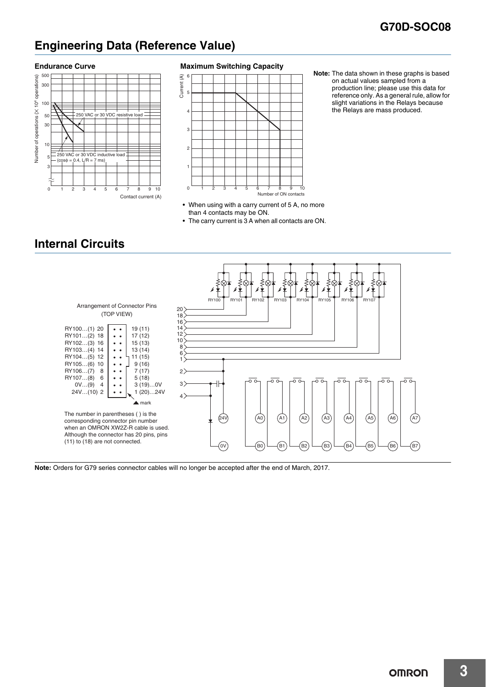## **G70D-SOC08**

**Note:** The data shown in these graphs is based on actual values sampled from a production line; please use this data for reference only. As a general rule, allow for slight variations in the Relays because the Relays are mass produced.

## **Engineering Data (Reference Value)**



#### **Endurance Curve Maximum Switching Capacity**



- When using with a carry current of 5 A, no more than 4 contacts may be ON.
- The carry current is 3 A when all contacts are ON.
- **Internal Circuits**



**Note:** Orders for G79 series connector cables will no longer be accepted after the end of March, 2017.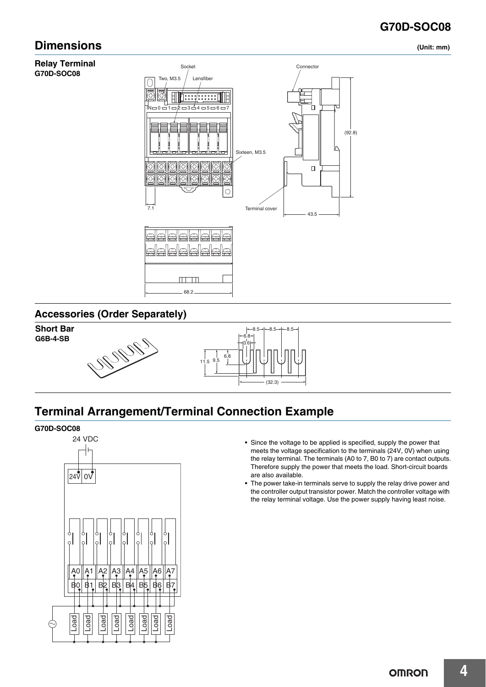## **G70D-SOC08**

**Relay Terminal G70D-SOC08**



## **Accessories (Order Separately)**



## **Terminal Arrangement/Terminal Connection Example**

### **G70D-SOC08**



- Since the voltage to be applied is specified, supply the power that meets the voltage specification to the terminals (24V, 0V) when using the relay terminal. The terminals (A0 to 7, B0 to 7) are contact outputs. Therefore supply the power that meets the load. Short-circuit boards are also available.
- The power take-in terminals serve to supply the relay drive power and the controller output transistor power. Match the controller voltage with the relay terminal voltage. Use the power supply having least noise.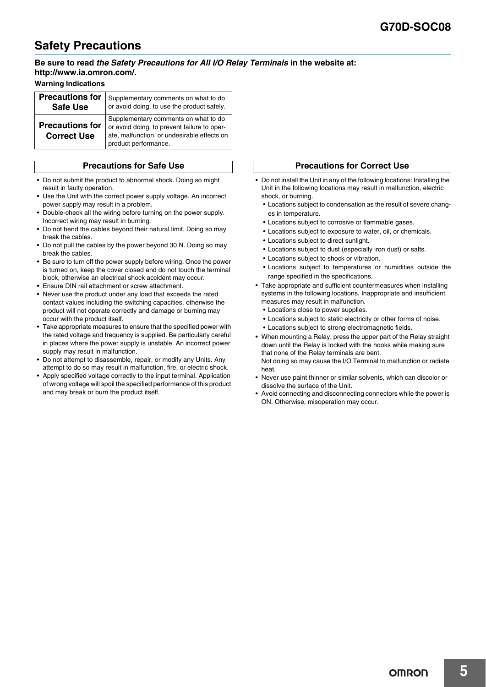## **Safety Precautions**

## **Be sure to read** *the Safety Precautions for All I/O Relay Terminals* **in the website at: http://www.ia.omron.com/.**

**Warning Indications**

| <b>Precautions for</b>                       | Supplementary comments on what to do                                                                                                                       |
|----------------------------------------------|------------------------------------------------------------------------------------------------------------------------------------------------------------|
| <b>Safe Use</b>                              | or avoid doing, to use the product safely.                                                                                                                 |
| <b>Precautions for</b><br><b>Correct Use</b> | Supplementary comments on what to do<br>or avoid doing, to prevent failure to oper-<br>ate, malfunction, or undesirable effects on<br>product performance. |

- Do not submit the product to abnormal shock. Doing so might result in faulty operation.
- Use the Unit with the correct power supply voltage. An incorrect power supply may result in a problem.
- Double-check all the wiring before turning on the power supply. Incorrect wiring may result in burning.
- Do not bend the cables beyond their natural limit. Doing so may break the cables.
- Do not pull the cables by the power beyond 30 N. Doing so may break the cables.
- Be sure to turn off the power supply before wiring. Once the power is turned on, keep the cover closed and do not touch the terminal block, otherwise an electrical shock accident may occur.
- Ensure DIN rail attachment or screw attachment.
- Never use the product under any load that exceeds the rated contact values including the switching capacities, otherwise the product will not operate correctly and damage or burning may occur with the product itself.
- Take appropriate measures to ensure that the specified power with the rated voltage and frequency is supplied. Be particularly careful in places where the power supply is unstable. An incorrect power supply may result in malfunction.
- Do not attempt to disassemble, repair, or modify any Units. Any attempt to do so may result in malfunction, fire, or electric shock.
- Apply specified voltage correctly to the input terminal. Application of wrong voltage will spoil the specified performance of this product and may break or burn the product itself.

## **Precautions for Safe Use Precautions for Correct Use**

- Do not install the Unit in any of the following locations: Installing the Unit in the following locations may result in malfunction, electric shock, or burning.
	- Locations subject to condensation as the result of severe changes in temperature.
	- Locations subject to corrosive or flammable gases.
	- Locations subject to exposure to water, oil, or chemicals.
	- Locations subject to direct sunlight.
	- Locations subject to dust (especially iron dust) or salts.
	- Locations subject to shock or vibration.
	- Locations subject to temperatures or humidities outside the range specified in the specifications.
- Take appropriate and sufficient countermeasures when installing systems in the following locations. Inappropriate and insufficient measures may result in malfunction.
	- Locations close to power supplies.
	- Locations subject to static electricity or other forms of noise.
	- Locations subject to strong electromagnetic fields.
- When mounting a Relay, press the upper part of the Relay straight down until the Relay is locked with the hooks while making sure that none of the Relay terminals are bent. Not doing so may cause the I/O Terminal to malfunction or radiate heat.
- Never use paint thinner or similar solvents, which can discolor or dissolve the surface of the Unit.
- Avoid connecting and disconnecting connectors while the power is ON. Otherwise, misoperation may occur.